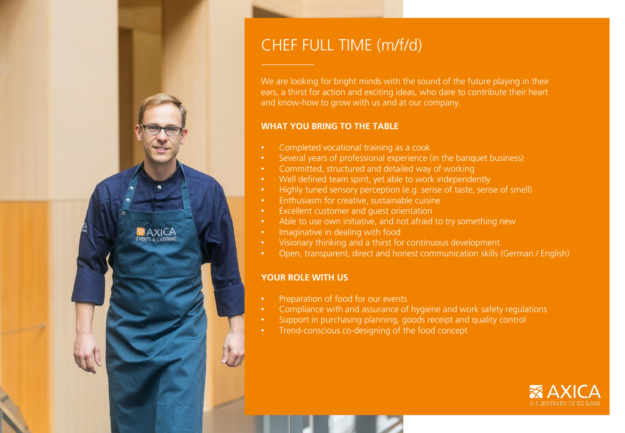

# CHEF FULL TIME (m/f/d)

We are looking for bright minds with the sound of the future playing in their ears, a thirst for action and exciting ideas, who dare to contribute their heart and know-how to grow with us and at our company.

## **WHAT YOU BRING TO THE TABLE**

- Completed vocational training as a cook
- Several years of professional experience (in the banquet business)
- Committed, structured and detailed way of working
- Well defined team spirit, yet able to work independently
- Highly tuned sensory perception (e.g. sense of taste, sense of smell)
- Enthusiasm for creative, sustainable cuisine
- Excellent customer and guest orientation
- Able to use own initiative, and not afraid to try something new
- Imaginative in dealing with food
- Visionary thinking and a thirst for continuous development
- Open, transparent, direct and honest communication skills (German / English)

## **YOUR ROLE WITH US**

- Preparation of food for our events
- Compliance with and assurance of hygiene and work safety regulations
- Support in purchasing planning, goods receipt and quality control
- Trend-conscious co-designing of the food concept